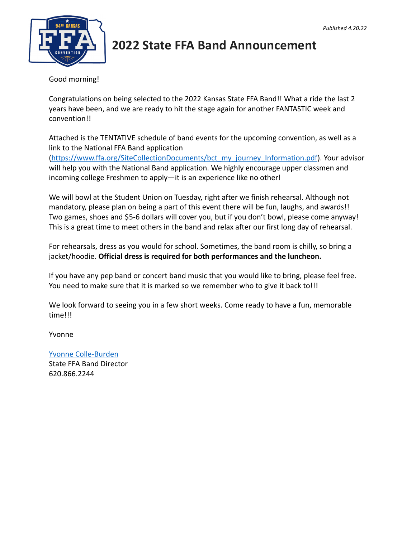

# **2022 State FFA Band Announcement**

Good morning!

Congratulations on being selected to the 2022 Kansas State FFA Band!! What a ride the last 2 years have been, and we are ready to hit the stage again for another FANTASTIC week and convention!!

Attached is the TENTATIVE schedule of band events for the upcoming convention, as well as a link to the National FFA Band application

(https://www.ffa.org/SiteCollectionDocuments/bct\_my\_journey\_Information.pdf). Your advisor will help you with the National Band application. We highly encourage upper classmen and incoming college Freshmen to apply—it is an experience like no other!

We will bowl at the Student Union on Tuesday, right after we finish rehearsal. Although not mandatory, please plan on being a part of this event there will be fun, laughs, and awards!! Two games, shoes and \$5-6 dollars will cover you, but if you don't bowl, please come anyway! This is a great time to meet others in the band and relax after our first long day of rehearsal.

For rehearsals, dress as you would for school. Sometimes, the band room is chilly, so bring a jacket/hoodie. **Official dress is required for both performances and the luncheon.** 

If you have any pep band or concert band music that you would like to bring, please feel free. You need to make sure that it is marked so we remember who to give it back to!!!

We look forward to seeing you in a few short weeks. Come ready to have a fun, memorable time!!!

Yvonne

Yvonne Colle-Burden State FFA Band Director 620.866.2244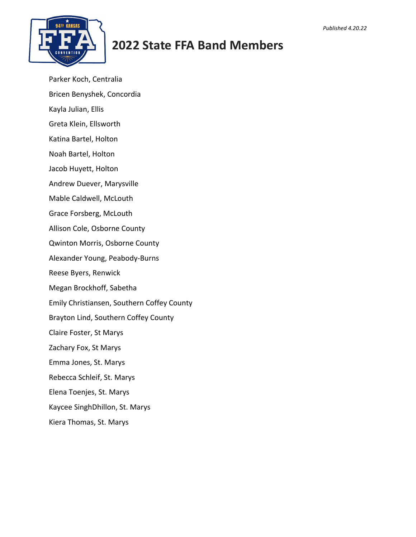

## **2022 State FFA Band Members**

- Parker Koch, Centralia
- Bricen Benyshek, Concordia
- Kayla Julian, Ellis
- Greta Klein, Ellsworth
- Katina Bartel, Holton
- Noah Bartel, Holton
- Jacob Huyett, Holton
- Andrew Duever, Marysville
- Mable Caldwell, McLouth
- Grace Forsberg, McLouth
- Allison Cole, Osborne County
- Qwinton Morris, Osborne County
- Alexander Young, Peabody-Burns
- Reese Byers, Renwick
- Megan Brockhoff, Sabetha
- Emily Christiansen, Southern Coffey County
- Brayton Lind, Southern Coffey County
- Claire Foster, St Marys
- Zachary Fox, St Marys
- Emma Jones, St. Marys
- Rebecca Schleif, St. Marys
- Elena Toenjes, St. Marys
- Kaycee SinghDhillon, St. Marys
- Kiera Thomas, St. Marys